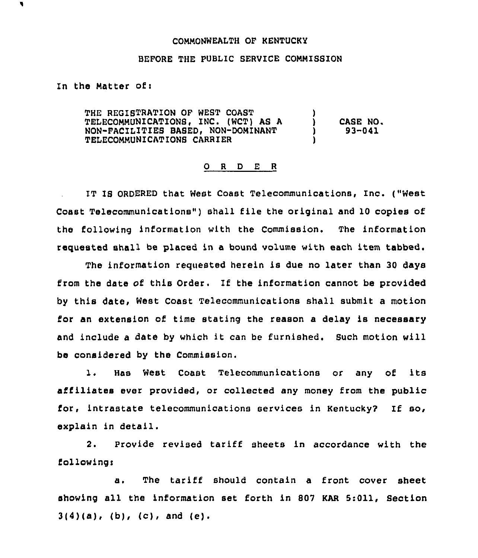## COMMONWEALTH OF KENTUCKY

## BEPORE THE PUBLIC SERVICE COMMISSION

## In the Matter ofi

THE REGISTRATION OF WEST COAST TELECOMMUNICATIONB, INC. (WCT) AS A NON-FACILITIES BASED, NON-DOMINANT TELECOMMUNICATIONB CARRIER ) ) CASE NO. ) 93-041 )

## 0 <sup>R</sup> <sup>D</sup> E <sup>R</sup>

IT IB ORDERED that West Coast Telecommunications, Inc. ("West Coast Telecommunications") shall file the original and 10 copies of the following information with the Commission. The information requested shall be placed in a bound volume with each item tabbed.

The information requested herein is due no later than 30 days from the date of this Order. If the information cannot be provided by this date, West Coast Telecommunications shall submit a motion for an extension of time stating the reason a delay is necessary and include <sup>a</sup> date by which it can be furnished. Such motion will be considered by the Commission.

l. Has West Coast Telecommunications or any of its affiliates ever provided, or collected any money from the public for, intrastate telecommunications services in Kentucky? If so, explain in detail.

2. Provide revised tariff sheets in accordance with the fo1lowing <sup>i</sup>

a. The tariff should contain a front cover sheet showing all the information set forth in 807 KAR 5:011, Section  $3(4)(a)$ , (b), (c), and (e).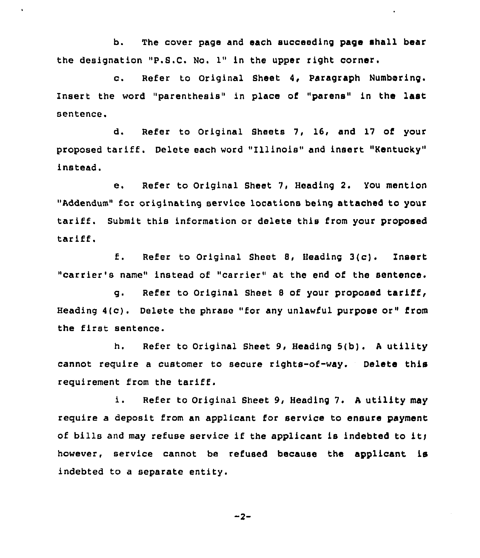b. The cover page and each succeeding page shall bear the designation "P.S.C. No. 1" in the upper right corner.

c. Refer to Original Sheet 4, paragraph Numbering. Insert the word "parenthesis" in place of "parens" in the last sentence.

d. Refer to Original Sheets 7, l6, and 17 of your proposed tariff. Delete each word "Illinois" and insert "Kentucky" instead.

e. Refer to Original Sheet 7, Heading 2. You mention "Addendum" for originating service locations being attached to your tariff. Submit this information or delete this from your proposed tariff.

f. Refer to Original Sheet 8, Heading 3(c). Insert "carrier's name" instead of "carrier" at the end of the sentence.

g. Refer to Original Sheet <sup>8</sup> of your proposed tariff, Heading 4(c). Delete the phrase "for any unlawful purpose or" from the first sentence.

h. Refer to Original Sheet 9, Heading 5(b). <sup>A</sup> utility cannot require a customer to secure rights-of-way. Delete this requirement from the tariff.

i. Refer to original Sheet 9, Heading 7. <sup>A</sup> utility may require a deposit from an applicant for service to ensure payment of bills and may refuse service if the applicant is indebted to it) however, service cannot be refused because the applicant is indebted to a separate entity.

$$
-2-
$$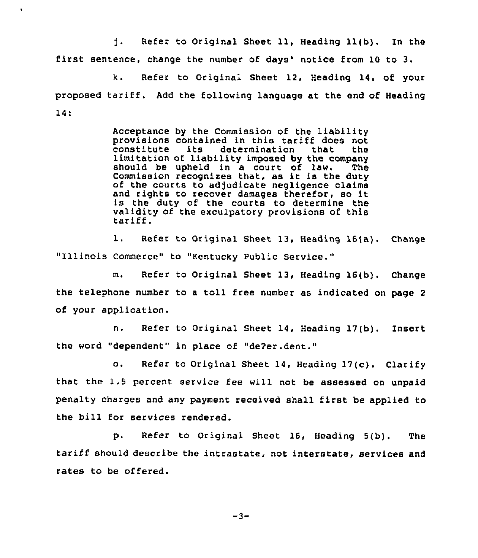$\mathbf{1}$ . Refer to Original Sheet 11, Heading 11(b). In the first sentence, change the number of days' notice from 10 to 3.

 $\bullet$ 

k. Refer to Original Sheet 12, Heading 14, of your proposed tariff. Add the following language at the end of Heading  $14:$ 

> Acceptance by the Commission of the liability<br>provisions contained in this tariff does not constitute its determination that the<br>limitation of liability imposed by the company should be upheld in a court of law. The<br>Commission recognizes that, as it is the duty<br>of the courts to adjudicate negligence claims of the courts to adjudicate negligence claims<br>and rights to recover damages therefor, so it<br>is the duty of the courts to determine the validity of the exculpatory provisions of this<br>tariff.

1. Refer to Original Sheet 13, Heading 16(a). Change "Illinois Commerce" to "Kentucky Public Service."

m. Refer to Original Sheet 13, Heading 16(b). Change the telephone number to <sup>a</sup> toll free number as indicated on page <sup>2</sup> of your application.

n. Refer to Original Sheet 14, Heading 17(b). Insert the word "dependent" in place of "de?er.dent."

o. Refer to Original Sheet 14, Heading 17(c). Clarify that the 1.5 percent service fee will not be assessed on unpaid penalty charges and any payment received shall first be applied to the bill for services rendered.

p. Refer to Original Sheet 16, Heading 5(b). The tariff should describe the intrastate, not interstate, services and rates to be offered.

$$
-3-
$$